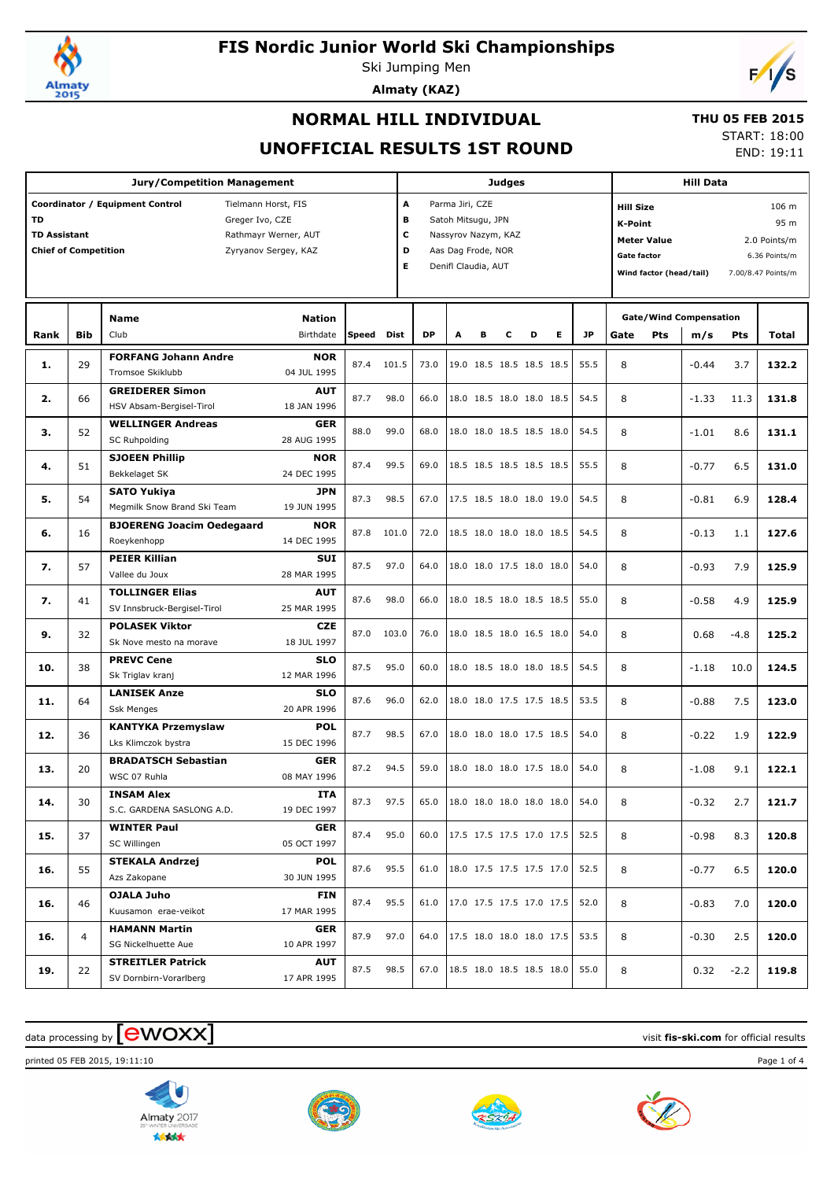

Ski Jumping Men **Almaty (KAZ)**



### **NORMAL HILL INDIVIDUAL**

#### **THU 05 FEB 2015**

**UNOFFICIAL RESULTS 1ST ROUND**

START: 18:00 END: 19:11

|                                                                 |                | <b>Jury/Competition Management</b>                                                                                        |                            |              |                                                                                                                                    |           | <b>Judges</b> |   |   |                          | <b>Hill Data</b> |                                 |                                                                                                           |     |                                      |                                                                      |       |
|-----------------------------------------------------------------|----------------|---------------------------------------------------------------------------------------------------------------------------|----------------------------|--------------|------------------------------------------------------------------------------------------------------------------------------------|-----------|---------------|---|---|--------------------------|------------------|---------------------------------|-----------------------------------------------------------------------------------------------------------|-----|--------------------------------------|----------------------------------------------------------------------|-------|
| <b>TD</b><br><b>TD Assistant</b><br><b>Chief of Competition</b> |                | Coordinator / Equipment Control<br>Tielmann Horst, FIS<br>Greger Ivo, CZE<br>Rathmayr Werner, AUT<br>Zyryanov Sergey, KAZ |                            |              | A<br>Parma Jiri, CZE<br>в<br>Satoh Mitsugu, JPN<br>с<br>Nassyrov Nazym, KAZ<br>D<br>Aas Dag Frode, NOR<br>Е<br>Denifl Claudia, AUT |           |               |   |   |                          |                  |                                 | <b>Hill Size</b><br><b>K-Point</b><br><b>Meter Value</b><br><b>Gate factor</b><br>Wind factor (head/tail) |     |                                      | 106 m<br>95 m<br>2.0 Points/m<br>6.36 Points/m<br>7.00/8.47 Points/m |       |
| Rank                                                            | <b>Bib</b>     | <b>Name</b><br>Club                                                                                                       | <b>Nation</b><br>Birthdate | <b>Speed</b> | <b>Dist</b>                                                                                                                        | <b>DP</b> | A             | в | c | D                        | Е                | <b>JP</b>                       | Gate                                                                                                      | Pts | <b>Gate/Wind Compensation</b><br>m/s | <b>Pts</b>                                                           | Total |
| 1.                                                              | 29             | <b>FORFANG Johann Andre</b><br>Tromsoe Skiklubb                                                                           | <b>NOR</b><br>04 JUL 1995  | 87.4         | 101.5                                                                                                                              | 73.0      |               |   |   | 19.0 18.5 18.5 18.5 18.5 |                  | 55.5                            | 8                                                                                                         |     | $-0.44$                              | 3.7                                                                  | 132.2 |
| 2.                                                              | 66             | <b>GREIDERER Simon</b><br>HSV Absam-Bergisel-Tirol                                                                        | <b>AUT</b><br>18 JAN 1996  | 87.7         | 98.0                                                                                                                               | 66.0      |               |   |   | 18.0 18.5 18.0 18.0 18.5 |                  | 54.5                            | 8                                                                                                         |     | $-1.33$                              | 11.3                                                                 | 131.8 |
| з.                                                              | 52             | <b>WELLINGER Andreas</b><br>SC Ruhpolding                                                                                 | <b>GER</b><br>28 AUG 1995  | 88.0         | 99.0                                                                                                                               | 68.0      |               |   |   | 18.0 18.0 18.5 18.5 18.0 |                  | 54.5                            | 8                                                                                                         |     | $-1.01$                              | 8.6                                                                  | 131.1 |
| 4.                                                              | 51             | <b>SJOEEN Phillip</b><br>Bekkelaget SK                                                                                    | <b>NOR</b><br>24 DEC 1995  | 87.4         | 99.5                                                                                                                               | 69.0      |               |   |   | 18.5 18.5 18.5 18.5 18.5 |                  | 55.5                            | 8                                                                                                         |     | $-0.77$                              | 6.5                                                                  | 131.0 |
| 5.                                                              | 54             | <b>SATO Yukiya</b><br>Megmilk Snow Brand Ski Team                                                                         | <b>JPN</b><br>19 JUN 1995  | 87.3         | 98.5                                                                                                                               | 67.0      |               |   |   | 17.5 18.5 18.0 18.0 19.0 |                  | 54.5                            | 8                                                                                                         |     | $-0.81$                              | 6.9                                                                  | 128.4 |
| 6.                                                              | 16             | <b>BJOERENG Joacim Oedegaard</b><br>Roeykenhopp                                                                           | <b>NOR</b><br>14 DEC 1995  | 87.8         | 101.0                                                                                                                              | 72.0      |               |   |   | 18.5 18.0 18.0 18.0 18.5 |                  | 54.5                            | 8                                                                                                         |     | $-0.13$                              | 1.1                                                                  | 127.6 |
| 7.                                                              | 57             | <b>PEIER Killian</b><br>Vallee du Joux                                                                                    | SUI<br>28 MAR 1995         | 87.5         | 97.0                                                                                                                               | 64.0      |               |   |   | 18.0 18.0 17.5 18.0 18.0 |                  | 54.0                            | 8                                                                                                         |     | $-0.93$                              | 7.9                                                                  | 125.9 |
| 7.                                                              | 41             | <b>TOLLINGER Elias</b><br>SV Innsbruck-Bergisel-Tirol                                                                     | <b>AUT</b><br>25 MAR 1995  | 87.6         | 98.0                                                                                                                               | 66.0      |               |   |   | 18.0 18.5 18.0 18.5 18.5 |                  | 55.0                            | 8                                                                                                         |     | $-0.58$                              | 4.9                                                                  | 125.9 |
| 9.                                                              | 32             | <b>POLASEK Viktor</b><br>Sk Nove mesto na morave                                                                          | <b>CZE</b><br>18 JUL 1997  | 87.0         | 103.0                                                                                                                              | 76.0      |               |   |   | 18.0 18.5 18.0 16.5 18.0 |                  | 54.0                            | 8                                                                                                         |     | 0.68                                 | $-4.8$                                                               | 125.2 |
| 10.                                                             | 38             | <b>PREVC Cene</b><br>Sk Triglav kranj                                                                                     | <b>SLO</b><br>12 MAR 1996  | 87.5         | 95.0                                                                                                                               | 60.0      |               |   |   | 18.0 18.5 18.0 18.0 18.5 |                  | 54.5                            | 8                                                                                                         |     | $-1.18$                              | 10.0                                                                 | 124.5 |
| 11.                                                             | 64             | <b>LANISEK Anze</b><br><b>Ssk Menges</b>                                                                                  | <b>SLO</b><br>20 APR 1996  | 87.6         | 96.0                                                                                                                               | 62.0      |               |   |   | 18.0 18.0 17.5 17.5 18.5 |                  | 53.5                            | 8                                                                                                         |     | $-0.88$                              | 7.5                                                                  | 123.0 |
| 12.                                                             | 36             | <b>KANTYKA Przemyslaw</b><br>Lks Klimczok bystra                                                                          | <b>POL</b><br>15 DEC 1996  | 87.7         | 98.5                                                                                                                               | 67.0      |               |   |   | 18.0 18.0 18.0 17.5 18.5 |                  | 54.0                            | 8                                                                                                         |     | $-0.22$                              | 1.9                                                                  | 122.9 |
| 13.                                                             | 20             | <b>BRADATSCH Sebastian</b><br>WSC 07 Ruhla                                                                                | <b>GER</b><br>08 MAY 1996  | 87.2         | 94.5                                                                                                                               | 59.0      |               |   |   | 18.0 18.0 18.0 17.5 18.0 |                  | 54.0                            | 8                                                                                                         |     | $-1.08$                              | 9.1                                                                  | 122.1 |
| 14.                                                             | 30             | <b>INSAM Alex</b><br>S.C. GARDENA SASLONG A.D.                                                                            | ITA<br>19 DEC 1997         | 87.3 97.5    |                                                                                                                                    | 65.0      |               |   |   |                          |                  | $18.0$ 18.0 18.0 18.0 18.0 54.0 | 8                                                                                                         |     | $-0.32$                              | 2.7                                                                  | 121.7 |
| 15.                                                             | 37             | <b>WINTER Paul</b><br>SC Willingen                                                                                        | <b>GER</b><br>05 OCT 1997  | 87.4         | 95.0                                                                                                                               | 60.0      |               |   |   | 17.5 17.5 17.5 17.0 17.5 |                  | 52.5                            | 8                                                                                                         |     | $-0.98$                              | 8.3                                                                  | 120.8 |
| 16.                                                             | 55             | <b>STEKALA Andrzej</b><br>Azs Zakopane                                                                                    | <b>POL</b><br>30 JUN 1995  | 87.6         | 95.5                                                                                                                               | 61.0      |               |   |   | 18.0 17.5 17.5 17.5 17.0 |                  | 52.5                            | 8                                                                                                         |     | $-0.77$                              | 6.5                                                                  | 120.0 |
| 16.                                                             | 46             | OJALA Juho<br>Kuusamon erae-veikot                                                                                        | <b>FIN</b><br>17 MAR 1995  | 87.4         | 95.5                                                                                                                               | 61.0      |               |   |   | 17.0 17.5 17.5 17.0 17.5 |                  | 52.0                            | 8                                                                                                         |     | $-0.83$                              | 7.0                                                                  | 120.0 |
| 16.                                                             | $\overline{4}$ | <b>HAMANN Martin</b><br>SG Nickelhuette Aue                                                                               | <b>GER</b><br>10 APR 1997  | 87.9         | 97.0                                                                                                                               | 64.0      |               |   |   | 17.5 18.0 18.0 18.0 17.5 |                  | 53.5                            | 8                                                                                                         |     | $-0.30$                              | 2.5                                                                  | 120.0 |
| 19.                                                             | 22             | <b>STREITLER Patrick</b><br>SV Dornbirn-Vorarlberg                                                                        | <b>AUT</b><br>17 APR 1995  | 87.5         | 98.5                                                                                                                               | 67.0      |               |   |   | 18.5 18.0 18.5 18.5 18.0 |                  | 55.0                            | 8                                                                                                         |     | 0.32                                 | $-2.2$                                                               | 119.8 |

### $\frac{1}{2}$  data processing by  $\boxed{\text{ewOX}}$

printed 05 FEB 2015, 19:11:10 Page 1 of 4







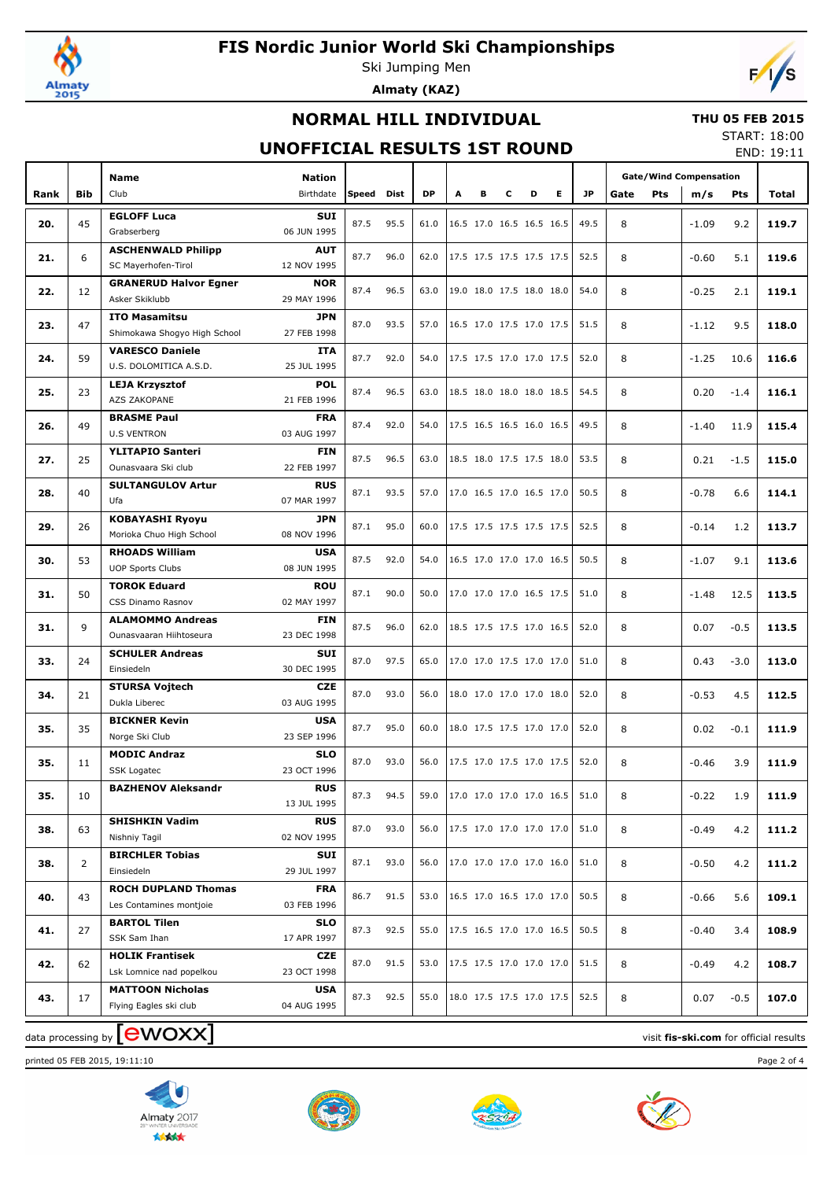

Ski Jumping Men **Almaty (KAZ)**



### **NORMAL HILL INDIVIDUAL**

#### **THU 05 FEB 2015** START: 18:00

### **UNOFFICIAL RESULTS 1ST ROUND**

END: 19:11

|      |                | Name                                               | <b>Nation</b>             |              |      |           |   |                          |   |   |   |           | <b>Gate/Wind Compensation</b> |         |        |       |
|------|----------------|----------------------------------------------------|---------------------------|--------------|------|-----------|---|--------------------------|---|---|---|-----------|-------------------------------|---------|--------|-------|
| Rank | <b>Bib</b>     | Club                                               | Birthdate                 | <b>Speed</b> | Dist | <b>DP</b> | A | в                        | c | D | Е | <b>JP</b> | Gate<br>Pts                   | m/s     | Pts    | Total |
|      |                | <b>EGLOFF Luca</b>                                 | <b>SUI</b>                |              |      |           |   |                          |   |   |   |           |                               |         |        |       |
| 20.  | 45             | Grabserberg                                        | 06 JUN 1995               | 87.5         | 95.5 | 61.0      |   | 16.5 17.0 16.5 16.5 16.5 |   |   |   | 49.5      | 8                             | $-1.09$ | 9.2    | 119.7 |
| 21.  | 6              | <b>ASCHENWALD Philipp</b>                          | <b>AUT</b>                | 87.7         | 96.0 | 62.0      |   | 17.5 17.5 17.5 17.5 17.5 |   |   |   | 52.5      | 8                             | $-0.60$ | 5.1    | 119.6 |
|      |                | SC Mayerhofen-Tirol                                | 12 NOV 1995               |              |      |           |   |                          |   |   |   |           |                               |         |        |       |
| 22.  | 12             | <b>GRANERUD Halvor Egner</b>                       | <b>NOR</b>                | 87.4         | 96.5 | 63.0      |   | 19.0 18.0 17.5 18.0 18.0 |   |   |   | 54.0      | 8                             | $-0.25$ | 2.1    | 119.1 |
|      |                | Asker Skiklubb                                     | 29 MAY 1996               |              |      |           |   |                          |   |   |   |           |                               |         |        |       |
| 23.  | 47             | <b>ITO Masamitsu</b>                               | JPN                       | 87.0         | 93.5 | 57.0      |   | 16.5 17.0 17.5 17.0 17.5 |   |   |   | 51.5      | 8                             | $-1.12$ | 9.5    | 118.0 |
|      |                | Shimokawa Shogyo High School                       | 27 FEB 1998               |              |      |           |   |                          |   |   |   |           |                               |         |        |       |
| 24.  | 59             | <b>VARESCO Daniele</b><br>U.S. DOLOMITICA A.S.D.   | <b>ITA</b><br>25 JUL 1995 | 87.7         | 92.0 | 54.0      |   | 17.5 17.5 17.0 17.0 17.5 |   |   |   | 52.0      | 8                             | $-1.25$ | 10.6   | 116.6 |
|      |                |                                                    | <b>POL</b>                |              |      |           |   |                          |   |   |   |           |                               |         |        |       |
| 25.  | 23             | <b>LEJA Krzysztof</b><br>AZS ZAKOPANE              | 21 FEB 1996               | 87.4         | 96.5 | 63.0      |   | 18.5 18.0 18.0 18.0 18.5 |   |   |   | 54.5      | 8                             | 0.20    | $-1.4$ | 116.1 |
|      |                | <b>BRASME Paul</b>                                 | <b>FRA</b>                |              |      |           |   |                          |   |   |   |           |                               |         |        |       |
| 26.  | 49             | <b>U.S VENTRON</b>                                 | 03 AUG 1997               | 87.4         | 92.0 | 54.0      |   | 17.5 16.5 16.5 16.0 16.5 |   |   |   | 49.5      | 8                             | $-1.40$ | 11.9   | 115.4 |
|      |                | <b>YLITAPIO Santeri</b>                            | <b>FIN</b>                |              |      |           |   |                          |   |   |   |           |                               |         |        |       |
| 27.  | 25             | Ounasvaara Ski club                                | 22 FEB 1997               | 87.5         | 96.5 | 63.0      |   | 18.5 18.0 17.5 17.5 18.0 |   |   |   | 53.5      | 8                             | 0.21    | $-1.5$ | 115.0 |
|      |                | <b>SULTANGULOV Artur</b>                           | <b>RUS</b>                |              |      |           |   |                          |   |   |   |           |                               |         |        |       |
| 28.  | 40             | Ufa                                                | 07 MAR 1997               | 87.1         | 93.5 | 57.0      |   | 17.0 16.5 17.0 16.5 17.0 |   |   |   | 50.5      | 8                             | $-0.78$ | 6.6    | 114.1 |
|      |                | <b>KOBAYASHI Ryoyu</b>                             | <b>JPN</b>                | 87.1         | 95.0 | 60.0      |   | 17.5 17.5 17.5 17.5 17.5 |   |   |   | 52.5      |                               |         |        |       |
| 29.  | 26             | Morioka Chuo High School                           | 08 NOV 1996               |              |      |           |   |                          |   |   |   |           | 8                             | $-0.14$ | 1.2    | 113.7 |
| 30.  | 53             | <b>RHOADS William</b>                              | <b>USA</b>                | 87.5         | 92.0 | 54.0      |   | 16.5 17.0 17.0 17.0 16.5 |   |   |   | 50.5      | 8                             | $-1.07$ | 9.1    | 113.6 |
|      |                | <b>UOP Sports Clubs</b>                            | 08 JUN 1995               |              |      |           |   |                          |   |   |   |           |                               |         |        |       |
| 31.  | 50             | <b>TOROK Eduard</b>                                | <b>ROU</b>                | 87.1         | 90.0 | 50.0      |   | 17.0 17.0 17.0 16.5 17.5 |   |   |   | 51.0      | 8                             | $-1.48$ | 12.5   | 113.5 |
|      |                | CSS Dinamo Rasnov                                  | 02 MAY 1997               |              |      |           |   |                          |   |   |   |           |                               |         |        |       |
| 31.  | 9              | <b>ALAMOMMO Andreas</b>                            | <b>FIN</b>                | 87.5         | 96.0 | 62.0      |   | 18.5 17.5 17.5 17.0 16.5 |   |   |   | 52.0      | 8                             | 0.07    | $-0.5$ | 113.5 |
|      |                | Ounasvaaran Hiihtoseura                            | 23 DEC 1998               |              |      |           |   |                          |   |   |   |           |                               |         |        |       |
| 33.  | 24             | <b>SCHULER Andreas</b>                             | <b>SUI</b>                | 87.0         | 97.5 | 65.0      |   | 17.0 17.0 17.5 17.0 17.0 |   |   |   | 51.0      | 8                             | 0.43    | $-3.0$ | 113.0 |
|      |                | Einsiedeln                                         | 30 DEC 1995               |              |      |           |   |                          |   |   |   |           |                               |         |        |       |
| 34.  | 21             | <b>STURSA Vojtech</b><br>Dukla Liberec             | CZE<br>03 AUG 1995        | 87.0         | 93.0 | 56.0      |   | 18.0 17.0 17.0 17.0 18.0 |   |   |   | 52.0      | 8                             | $-0.53$ | 4.5    | 112.5 |
|      |                | <b>BICKNER Kevin</b>                               | <b>USA</b>                |              |      |           |   |                          |   |   |   |           |                               |         |        |       |
| 35.  | 35             | Norge Ski Club                                     | 23 SEP 1996               | 87.7         | 95.0 | 60.0      |   | 18.0 17.5 17.5 17.0 17.0 |   |   |   | 52.0      | 8                             | 0.02    | $-0.1$ | 111.9 |
|      |                | <b>MODIC Andraz</b>                                | <b>SLO</b>                |              |      |           |   |                          |   |   |   |           |                               |         |        |       |
| 35.  | 11             | <b>SSK Logatec</b>                                 | 23 OCT 1996               | 87.0         | 93.0 | 56.0      |   | 17.5 17.0 17.5 17.0 17.5 |   |   |   | 52.0      | 8                             | $-0.46$ | 3.9    | 111.9 |
|      |                | <b>BAZHENOV Aleksandr</b>                          | <b>RUS</b>                |              |      |           |   |                          |   |   |   |           |                               |         |        |       |
| 35.  | 10             |                                                    | 13 JUL 1995               | 87.3         | 94.5 | 59.0      |   | 17.0 17.0 17.0 17.0 16.5 |   |   |   | 51.0      | 8                             | $-0.22$ | 1.9    | 111.9 |
| 38.  | 63             | <b>SHISHKIN Vadim</b>                              | <b>RUS</b>                | 87.0         | 93.0 | 56.0      |   | 17.5 17.0 17.0 17.0 17.0 |   |   |   | 51.0      | 8                             | $-0.49$ | 4.2    | 111.2 |
|      |                | Nishniy Tagil                                      | 02 NOV 1995               |              |      |           |   |                          |   |   |   |           |                               |         |        |       |
| 38.  | $\overline{2}$ | <b>BIRCHLER Tobias</b>                             | SUI                       | 87.1         | 93.0 | 56.0      |   | 17.0 17.0 17.0 17.0 16.0 |   |   |   | 51.0      | 8                             | $-0.50$ | 4.2    | 111.2 |
|      |                | Einsiedeln                                         | 29 JUL 1997               |              |      |           |   |                          |   |   |   |           |                               |         |        |       |
| 40.  | 43             | <b>ROCH DUPLAND Thomas</b>                         | <b>FRA</b>                | 86.7         | 91.5 | 53.0      |   | 16.5 17.0 16.5 17.0 17.0 |   |   |   | 50.5      | 8                             | -0.66   | 5.6    | 109.1 |
|      |                | Les Contamines montjoie                            | 03 FEB 1996               |              |      |           |   |                          |   |   |   |           |                               |         |        |       |
| 41.  | 27             | <b>BARTOL Tilen</b>                                | <b>SLO</b>                | 87.3         | 92.5 | 55.0      |   | 17.5 16.5 17.0 17.0 16.5 |   |   |   | 50.5      | 8                             | -0.40   | 3.4    | 108.9 |
|      |                | SSK Sam Ihan                                       | 17 APR 1997               |              |      |           |   |                          |   |   |   |           |                               |         |        |       |
| 42.  | 62             | <b>HOLIK Frantisek</b><br>Lsk Lomnice nad popelkou | CZE<br>23 OCT 1998        | 87.0         | 91.5 | 53.0      |   | 17.5 17.5 17.0 17.0 17.0 |   |   |   | 51.5      | 8                             | $-0.49$ | 4.2    | 108.7 |
|      |                | <b>MATTOON Nicholas</b>                            | <b>USA</b>                |              |      |           |   |                          |   |   |   |           |                               |         |        |       |
| 43.  | 17             | Flying Eagles ski club                             | 04 AUG 1995               | 87.3         | 92.5 | 55.0      |   | 18.0 17.5 17.5 17.0 17.5 |   |   |   | 52.5      | 8                             | 0.07    | $-0.5$ | 107.0 |
|      |                |                                                    |                           |              |      |           |   |                          |   |   |   |           |                               |         |        |       |

## $\frac{1}{2}$  data processing by  $\boxed{\text{ewOX}}$

printed 05 FEB 2015, 19:11:10 Page 2 of 4







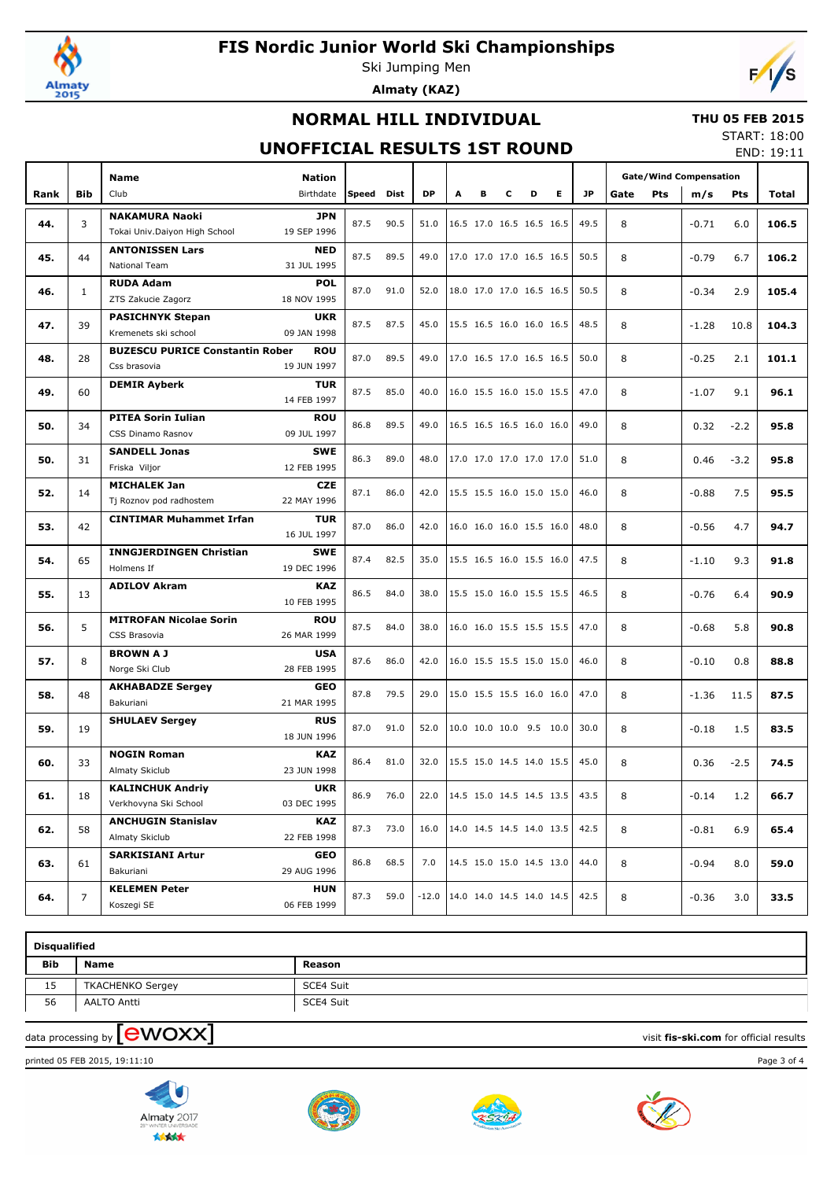

Ski Jumping Men **Almaty (KAZ)**



### **NORMAL HILL INDIVIDUAL**

#### **THU 05 FEB 2015** START: 18:00

### **UNOFFICIAL RESULTS 1ST ROUND**

END: 19:11

|      |              | Name<br><b>Nation</b>                                                         |       |      |                                    |   |                          |   |   |    |           | <b>Gate/Wind Compensation</b> |            |         |        |       |
|------|--------------|-------------------------------------------------------------------------------|-------|------|------------------------------------|---|--------------------------|---|---|----|-----------|-------------------------------|------------|---------|--------|-------|
| Rank | <b>Bib</b>   | Club<br>Birthdate                                                             | Speed | Dist | <b>DP</b>                          | A | в                        | c | D | E. | <b>JP</b> | Gate                          | <b>Pts</b> | m/s     | Pts    | Total |
|      |              | <b>NAKAMURA Naoki</b><br><b>JPN</b>                                           |       |      |                                    |   |                          |   |   |    |           |                               |            |         |        |       |
| 44.  | 3            | Tokai Univ.Daiyon High School<br>19 SEP 1996                                  | 87.5  | 90.5 | 51.0                               |   | 16.5 17.0 16.5 16.5 16.5 |   |   |    | 49.5      | 8                             |            | $-0.71$ | 6.0    | 106.5 |
|      |              | <b>ANTONISSEN Lars</b><br><b>NED</b>                                          |       |      |                                    |   |                          |   |   |    |           |                               |            |         |        |       |
| 45.  | 44           | National Team<br>31 JUL 1995                                                  | 87.5  | 89.5 | 49.0                               |   | 17.0 17.0 17.0 16.5 16.5 |   |   |    | 50.5      | 8                             |            | $-0.79$ | 6.7    | 106.2 |
|      |              | <b>RUDA Adam</b><br><b>POL</b>                                                |       |      |                                    |   |                          |   |   |    |           |                               |            |         |        |       |
| 46.  | $\mathbf{1}$ | ZTS Zakucie Zagorz<br>18 NOV 1995                                             | 87.0  | 91.0 | 52.0                               |   | 18.0 17.0 17.0 16.5 16.5 |   |   |    | 50.5      | 8                             |            | $-0.34$ | 2.9    | 105.4 |
|      |              | <b>PASICHNYK Stepan</b><br><b>UKR</b>                                         |       |      |                                    |   |                          |   |   |    |           |                               |            |         |        |       |
| 47.  | 39           | 09 JAN 1998<br>Kremenets ski school                                           | 87.5  | 87.5 | 45.0                               |   | 15.5 16.5 16.0 16.0 16.5 |   |   |    | 48.5      | 8                             |            | $-1.28$ | 10.8   | 104.3 |
|      |              | <b>BUZESCU PURICE Constantin Rober</b><br><b>ROU</b>                          |       |      |                                    |   |                          |   |   |    |           |                               |            |         |        |       |
| 48.  | 28           | Css brasovia<br>19 JUN 1997                                                   | 87.0  | 89.5 | 49.0                               |   | 17.0 16.5 17.0 16.5 16.5 |   |   |    | 50.0      | 8                             |            | $-0.25$ | 2.1    | 101.1 |
|      |              | <b>DEMIR Ayberk</b><br><b>TUR</b>                                             |       |      |                                    |   |                          |   |   |    |           |                               |            |         |        |       |
| 49.  | 60           | 14 FEB 1997                                                                   | 87.5  | 85.0 | 40.0                               |   | 16.0 15.5 16.0 15.0 15.5 |   |   |    | 47.0      | 8                             |            | $-1.07$ | 9.1    | 96.1  |
|      | 34           | <b>PITEA Sorin Iulian</b><br><b>ROU</b>                                       | 86.8  | 89.5 | 49.0                               |   | 16.5 16.5 16.5 16.0 16.0 |   |   |    | 49.0      | 8                             |            |         |        |       |
| 50.  |              | 09 JUL 1997<br>CSS Dinamo Rasnov                                              |       |      |                                    |   |                          |   |   |    |           |                               |            | 0.32    | $-2.2$ | 95.8  |
| 50.  | 31           | <b>SANDELL Jonas</b><br>SWE                                                   | 86.3  | 89.0 | 48.0                               |   | 17.0 17.0 17.0 17.0 17.0 |   |   |    | 51.0      | 8                             |            | 0.46    | $-3.2$ | 95.8  |
|      |              | Friska Viljor<br>12 FEB 1995                                                  |       |      |                                    |   |                          |   |   |    |           |                               |            |         |        |       |
| 52.  | 14           | <b>MICHALEK Jan</b><br><b>CZE</b>                                             | 87.1  | 86.0 | 42.0                               |   | 15.5 15.5 16.0 15.0 15.0 |   |   |    | 46.0      | 8                             |            | $-0.88$ | 7.5    | 95.5  |
|      |              | Tj Roznov pod radhostem<br>22 MAY 1996                                        |       |      |                                    |   |                          |   |   |    |           |                               |            |         |        |       |
| 53.  | 42           | <b>CINTIMAR Muhammet Irfan</b><br><b>TUR</b>                                  | 87.0  | 86.0 | 42.0                               |   | 16.0 16.0 16.0 15.5 16.0 |   |   |    | 48.0      | 8                             |            | $-0.56$ | 4.7    | 94.7  |
|      |              | 16 JUL 1997                                                                   |       |      |                                    |   |                          |   |   |    |           |                               |            |         |        |       |
| 54.  | 65           | <b>INNGJERDINGEN Christian</b><br>SWE                                         | 87.4  | 82.5 | 35.0                               |   | 15.5 16.5 16.0 15.5 16.0 |   |   |    | 47.5      | 8                             |            | $-1.10$ | 9.3    | 91.8  |
|      |              | Holmens If<br>19 DEC 1996                                                     |       |      |                                    |   |                          |   |   |    |           |                               |            |         |        |       |
| 55.  | 13           | <b>ADILOV Akram</b><br>KAZ                                                    | 86.5  | 84.0 | 38.0                               |   | 15.5 15.0 16.0 15.5 15.5 |   |   |    | 46.5      | 8                             |            | $-0.76$ | 6.4    | 90.9  |
|      |              | 10 FEB 1995                                                                   |       |      |                                    |   |                          |   |   |    |           |                               |            |         |        |       |
| 56.  | 5            | <b>MITROFAN Nicolae Sorin</b><br><b>ROU</b>                                   | 87.5  | 84.0 | 38.0                               |   | 16.0 16.0 15.5 15.5 15.5 |   |   |    | 47.0      | 8                             |            | $-0.68$ | 5.8    | 90.8  |
|      |              | CSS Brasovia<br>26 MAR 1999                                                   |       |      |                                    |   |                          |   |   |    |           |                               |            |         |        |       |
| 57.  | 8            | <b>BROWN A J</b><br><b>USA</b>                                                | 87.6  | 86.0 | 42.0                               |   | 16.0 15.5 15.5 15.0 15.0 |   |   |    | 46.0      | 8                             |            | $-0.10$ | 0.8    | 88.8  |
|      |              | Norge Ski Club<br>28 FEB 1995                                                 |       |      |                                    |   |                          |   |   |    |           |                               |            |         |        |       |
| 58.  | 48           | <b>AKHABADZE Sergey</b><br><b>GEO</b>                                         | 87.8  | 79.5 | 29.0                               |   | 15.0 15.5 15.5 16.0 16.0 |   |   |    | 47.0      | 8                             |            | $-1.36$ | 11.5   | 87.5  |
|      |              | Bakuriani<br>21 MAR 1995                                                      |       |      |                                    |   |                          |   |   |    |           |                               |            |         |        |       |
| 59.  | 19           | <b>RUS</b><br><b>SHULAEV Sergey</b>                                           | 87.0  | 91.0 | 52.0                               |   | 10.0 10.0 10.0 9.5 10.0  |   |   |    | 30.0      | 8                             |            | $-0.18$ | 1.5    | 83.5  |
|      |              | 18 JUN 1996                                                                   |       |      |                                    |   |                          |   |   |    |           |                               |            |         |        |       |
| 60.  | 33           | <b>NOGIN Roman</b><br>KAZ<br>23 JUN 1998                                      | 86.4  | 81.0 | 32.0                               |   | 15.5 15.0 14.5 14.0 15.5 |   |   |    | 45.0      | 8                             |            | 0.36    | $-2.5$ | 74.5  |
|      |              | Almaty Skiclub                                                                |       |      |                                    |   |                          |   |   |    |           |                               |            |         |        |       |
| 61.  | 18           | <b>UKR</b><br><b>KALINCHUK Andriy</b><br>Verkhovyna Ski School<br>03 DEC 1995 | 86.9  | 76.0 | 22.0                               |   | 14.5 15.0 14.5 14.5 13.5 |   |   |    | 43.5      | 8                             |            | $-0.14$ | 1.2    | 66.7  |
|      |              | <b>ANCHUGIN Stanislav</b>                                                     |       |      |                                    |   |                          |   |   |    |           |                               |            |         |        |       |
| 62.  | 58           | KAZ<br>Almaty Skiclub<br>22 FEB 1998                                          | 87.3  | 73.0 | 16.0                               |   | 14.0 14.5 14.5 14.0 13.5 |   |   |    | 42.5      | 8                             |            | $-0.81$ | 6.9    | 65.4  |
|      |              | <b>SARKISIANI Artur</b><br>GEO                                                |       |      |                                    |   |                          |   |   |    |           |                               |            |         |        |       |
| 63.  | 61           | 29 AUG 1996<br>Bakuriani                                                      | 86.8  | 68.5 | 7.0                                |   | 14.5 15.0 15.0 14.5 13.0 |   |   |    | 44.0      | 8                             |            | $-0.94$ | 8.0    | 59.0  |
|      |              | <b>KELEMEN Peter</b><br><b>HUN</b>                                            |       |      |                                    |   |                          |   |   |    |           |                               |            |         |        |       |
| 64.  | 7            | 06 FEB 1999<br>Koszegi SE                                                     | 87.3  | 59.0 | $-12.0$   14.0 14.0 14.5 14.0 14.5 |   |                          |   |   |    | 42.5      | 8                             |            | -0.36   | 3.0    | 33.5  |

| <b>Disqualified</b> |                         |           |  |  |  |  |  |  |  |  |  |
|---------------------|-------------------------|-----------|--|--|--|--|--|--|--|--|--|
| <b>Bib</b>          | <b>Name</b>             | Reason    |  |  |  |  |  |  |  |  |  |
| 15                  | <b>TKACHENKO Sergey</b> | SCE4 Suit |  |  |  |  |  |  |  |  |  |
| 56                  | AALTO Antti             | SCE4 Suit |  |  |  |  |  |  |  |  |  |
|                     |                         |           |  |  |  |  |  |  |  |  |  |

# $\frac{1}{2}$  data processing by  $\boxed{\text{ewOX}}$

printed 05 FEB 2015, 19:11:10 Page 3 of 4